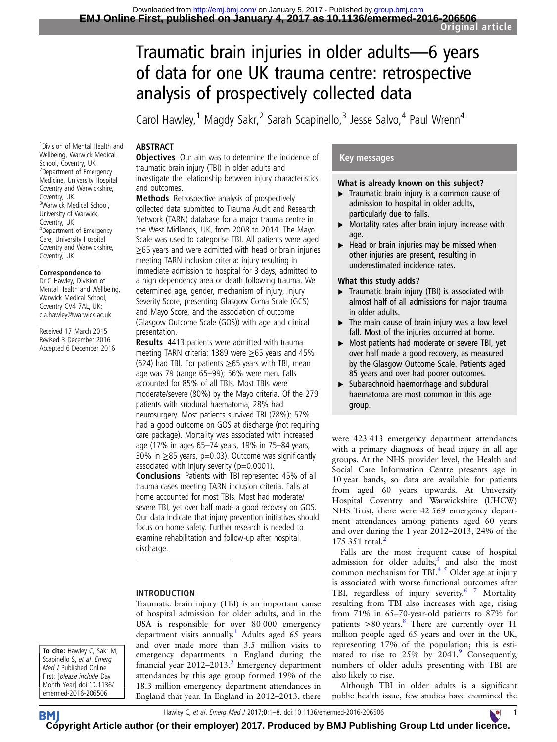# Traumatic brain injuries in older adults—6 years of data for one UK trauma centre: retrospective analysis of prospectively collected data

Carol Hawley,<sup>1</sup> Magdy Sakr,<sup>2</sup> Sarah Scapinello,<sup>3</sup> Jesse Salvo,<sup>4</sup> Paul Wrenn<sup>4</sup>

# **ABSTRACT**

1 Division of Mental Health and Wellbeing, Warwick Medical School, Coventry, UK 2 Department of Emergency Medicine, University Hospital Coventry and Warwickshire, Coventry, UK 3 Warwick Medical School, University of Warwick, Coventry, UK 4 Department of Emergency Care, University Hospital Coventry and Warwickshire, Coventry, UK

#### Correspondence to

Dr C Hawley, Division of Mental Health and Wellbeing, Warwick Medical School, Coventry CV4 7AL, UK; c.a.hawley@warwick.ac.uk

Received 17 March 2015 Revised 3 December 2016 Accepted 6 December 2016 **Objectives** Our aim was to determine the incidence of traumatic brain injury (TBI) in older adults and investigate the relationship between injury characteristics and outcomes.

Methods Retrospective analysis of prospectively collected data submitted to Trauma Audit and Research Network (TARN) database for a major trauma centre in the West Midlands, UK, from 2008 to 2014. The Mayo Scale was used to categorise TBI. All patients were aged ≥65 years and were admitted with head or brain injuries meeting TARN inclusion criteria: injury resulting in immediate admission to hospital for 3 days, admitted to a high dependency area or death following trauma. We determined age, gender, mechanism of injury, Injury Severity Score, presenting Glasgow Coma Scale (GCS) and Mayo Score, and the association of outcome (Glasgow Outcome Scale (GOS)) with age and clinical presentation.

Results 4413 patients were admitted with trauma meeting TARN criteria: 1389 were ≥65 years and 45% (624) had TBI. For patients  $\geq$  65 years with TBI, mean age was 79 (range 65–99); 56% were men. Falls accounted for 85% of all TBIs. Most TBIs were moderate/severe (80%) by the Mayo criteria. Of the 279 patients with subdural haematoma, 28% had neurosurgery. Most patients survived TBI (78%); 57% had a good outcome on GOS at discharge (not requiring care package). Mortality was associated with increased age (17% in ages 65–74 years, 19% in 75–84 years, 30% in ≥85 years, p=0.03). Outcome was significantly associated with injury severity ( $p=0.0001$ ).

Conclusions Patients with TBI represented 45% of all trauma cases meeting TARN inclusion criteria. Falls at home accounted for most TBIs. Most had moderate/ severe TBI, yet over half made a good recovery on GOS. Our data indicate that injury prevention initiatives should focus on home safety. Further research is needed to examine rehabilitation and follow-up after hospital discharge.

#### INTRODUCTION

Traumatic brain injury (TBI) is an important cause of hospital admission for older adults, and in the USA is responsible for over 80 000 emergency department visits annually.<sup>[1](#page-7-0)</sup> Adults aged 65 years and over made more than 3.5 million visits to emergency departments in England during the financial year  $2012-2013$  $2012-2013$ <sup>2</sup> Emergency department attendances by this age group formed 19% of the 18.3 million emergency department attendances in England that year. In England in 2012–2013, there

# Key messages

#### What is already known on this subject?

- ▶ Traumatic brain injury is a common cause of admission to hospital in older adults, particularly due to falls.
- $\triangleright$  Mortality rates after brain injury increase with age.
- $\blacktriangleright$  Head or brain injuries may be missed when other injuries are present, resulting in underestimated incidence rates.

#### What this study adds?

- $\triangleright$  Traumatic brain injury (TBI) is associated with almost half of all admissions for major trauma in older adults.
- $\triangleright$  The main cause of brain injury was a low level fall. Most of the injuries occurred at home.
- ▸ Most patients had moderate or severe TBI, yet over half made a good recovery, as measured by the Glasgow Outcome Scale. Patients aged 85 years and over had poorer outcomes.
- ▸ Subarachnoid haemorrhage and subdural haematoma are most common in this age group.

were 423 413 emergency department attendances with a primary diagnosis of head injury in all age groups. At the NHS provider level, the Health and Social Care Information Centre presents age in 10 year bands, so data are available for patients from aged 60 years upwards. At University Hospital Coventry and Warwickshire (UHCW) NHS Trust, there were 42 569 emergency department attendances among patients aged 60 years and over during the 1 year 2012–2013, 24% of the 175 351 total.<sup>[2](#page-7-0)</sup>

Falls are the most frequent cause of hospital admission for older adults, $3$  and also the most common mechanism for TBI. $4<sup>5</sup>$  Older age at injury is associated with worse functional outcomes after TBI, regardless of injury severity.<sup>6</sup> 7 Mortality resulting from TBI also increases with age, rising from 71% in 65–70-year-old patients to 87% for patients  $>80$  $>80$  $>80$  years.<sup>8</sup> There are currently over 11 million people aged 65 years and over in the UK, representing 17% of the population; this is estimated to rise to  $25\%$  by  $2041$ .<sup>[9](#page-7-0)</sup> Consequently, numbers of older adults presenting with TBI are also likely to rise.

Although TBI in older adults is a significant public health issue, few studies have examined the

To cite: Hawley C, Sakr M, Scapinello S, et al. Emerg Med J Published Online First: [please include Day Month Year] doi:10.1136/ emermed-2016-206506

Hawley C, et al. Emerg Med J 2017;0:1–8. doi:10.1136/emermed-2016-206506 1

**BM [Cop](http://emj.bmj.com)yright Article author (or their employer) 2017. Produced by BMJ Publishing Group Ltd under lic[enc](http://www.collemergencymed.ac.uk/)e.**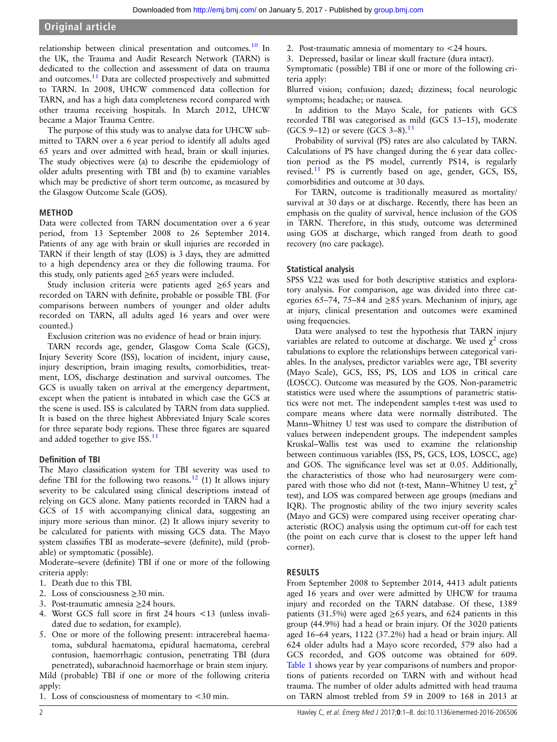# Original article

relationship between clinical presentation and outcomes.<sup>[10](#page-7-0)</sup> In the UK, the Trauma and Audit Research Network (TARN) is dedicated to the collection and assessment of data on trauma and outcomes.<sup>[11](#page-7-0)</sup> Data are collected prospectively and submitted to TARN. In 2008, UHCW commenced data collection for TARN, and has a high data completeness record compared with other trauma receiving hospitals. In March 2012, UHCW became a Major Trauma Centre.

The purpose of this study was to analyse data for UHCW submitted to TARN over a 6 year period to identify all adults aged 65 years and over admitted with head, brain or skull injuries. The study objectives were (a) to describe the epidemiology of older adults presenting with TBI and (b) to examine variables which may be predictive of short term outcome, as measured by the Glasgow Outcome Scale (GOS).

#### METHOD

Data were collected from TARN documentation over a 6 year period, from 13 September 2008 to 26 September 2014. Patients of any age with brain or skull injuries are recorded in TARN if their length of stay (LOS) is 3 days, they are admitted to a high dependency area or they die following trauma. For this study, only patients aged  $\geq 65$  years were included.

Study inclusion criteria were patients aged ≥65 years and recorded on TARN with definite, probable or possible TBI. (For comparisons between numbers of younger and older adults recorded on TARN, all adults aged 16 years and over were counted.)

Exclusion criterion was no evidence of head or brain injury.

TARN records age, gender, Glasgow Coma Scale (GCS), Injury Severity Score (ISS), location of incident, injury cause, injury description, brain imaging results, comorbidities, treatment, LOS, discharge destination and survival outcomes. The GCS is usually taken on arrival at the emergency department, except when the patient is intubated in which case the GCS at the scene is used. ISS is calculated by TARN from data supplied. It is based on the three highest Abbreviated Injury Scale scores for three separate body regions. These three figures are squared and added together to give ISS.<sup>11</sup>

#### Definition of TBI

The Mayo classification system for TBI severity was used to define TBI for the following two reasons.<sup>[12](#page-7-0)</sup> (1) It allows injury severity to be calculated using clinical descriptions instead of relying on GCS alone. Many patients recorded in TARN had a GCS of 15 with accompanying clinical data, suggesting an injury more serious than minor. (2) It allows injury severity to be calculated for patients with missing GCS data. The Mayo system classifies TBI as moderate–severe (definite), mild (probable) or symptomatic (possible).

Moderate–severe (definite) TBI if one or more of the following criteria apply:

- 1. Death due to this TBI.
- 2. Loss of consciousness  $\geq 30$  min.
- 3. Post-traumatic amnesia ≥24 hours.
- 4. Worst GCS full score in first 24 hours <13 (unless invalidated due to sedation, for example).
- 5. One or more of the following present: intracerebral haematoma, subdural haematoma, epidural haematoma, cerebral contusion, haemorrhagic contusion, penetrating TBI (dura penetrated), subarachnoid haemorrhage or brain stem injury.

Mild (probable) TBI if one or more of the following criteria apply:

1. Loss of consciousness of momentary to <30 min.

- 2. Post-traumatic amnesia of momentary to <24 hours.
- 3. Depressed, basilar or linear skull fracture (dura intact).

Symptomatic (possible) TBI if one or more of the following criteria apply:

Blurred vision; confusion; dazed; dizziness; focal neurologic symptoms; headache; or nausea.

In addition to the Mayo Scale, for patients with GCS recorded TBI was categorised as mild (GCS 13–15), moderate (GCS 9–12) or severe (GCS 3–8).<sup>[13](#page-7-0)</sup>

Probability of survival (PS) rates are also calculated by TARN. Calculations of PS have changed during the 6 year data collection period as the PS model, currently PS14, is regularly revised.[11](#page-7-0) PS is currently based on age, gender, GCS, ISS, comorbidities and outcome at 30 days.

For TARN, outcome is traditionally measured as mortality/ survival at 30 days or at discharge. Recently, there has been an emphasis on the quality of survival, hence inclusion of the GOS in TARN. Therefore, in this study, outcome was determined using GOS at discharge, which ranged from death to good recovery (no care package).

#### Statistical analysis

SPSS V.22 was used for both descriptive statistics and exploratory analysis. For comparison, age was divided into three categories 65–74, 75–84 and ≥85 years. Mechanism of injury, age at injury, clinical presentation and outcomes were examined using frequencies.

Data were analysed to test the hypothesis that TARN injury variables are related to outcome at discharge. We used  $\chi^2$  cross tabulations to explore the relationships between categorical variables. In the analyses, predictor variables were age, TBI severity (Mayo Scale), GCS, ISS, PS, LOS and LOS in critical care (LOSCC). Outcome was measured by the GOS. Non-parametric statistics were used where the assumptions of parametric statistics were not met. The independent samples t-test was used to compare means where data were normally distributed. The Mann–Whitney U test was used to compare the distribution of values between independent groups. The independent samples Kruskal–Wallis test was used to examine the relationship between continuous variables (ISS, PS, GCS, LOS, LOSCC, age) and GOS. The significance level was set at 0.05. Additionally, the characteristics of those who had neurosurgery were compared with those who did not (t-test, Mann–Whitney U test,  $\chi^2$ test), and LOS was compared between age groups (medians and IQR). The prognostic ability of the two injury severity scales (Mayo and GCS) were compared using receiver operating characteristic (ROC) analysis using the optimum cut-off for each test (the point on each curve that is closest to the upper left hand corner).

#### RESULTS

From September 2008 to September 2014, 4413 adult patients aged 16 years and over were admitted by UHCW for trauma injury and recorded on the TARN database. Of these, 1389 patients (31.5%) were aged  $\geq 65$  years, and 624 patients in this group (44.9%) had a head or brain injury. Of the 3020 patients aged 16–64 years, 1122 (37.2%) had a head or brain injury. All 624 older adults had a Mayo score recorded, 579 also had a GCS recorded, and GOS outcome was obtained for 609. [Table 1](#page-2-0) shows year by year comparisons of numbers and proportions of patients recorded on TARN with and without head trauma. The number of older adults admitted with head trauma on TARN almost trebled from 59 in 2009 to 168 in 2013 at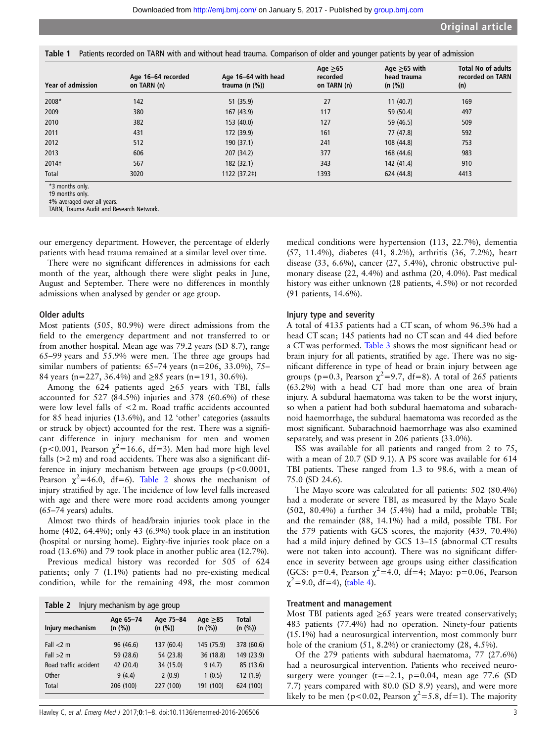<span id="page-2-0"></span>Table 1 Patients recorded on TARN with and without head trauma. Comparison of older and younger patients by year of admission

| <b>Year of admission</b>                                                                                      | Age 16-64 recorded<br>on TARN (n) | Age 16-64 with head<br>trauma (n $(%)$ ) | Age $\geq 65$<br>recorded<br>on TARN (n) | Age $\geq 65$ with<br>head trauma<br>(n (%)) | <b>Total No of adults</b><br>recorded on TARN<br>(n) |
|---------------------------------------------------------------------------------------------------------------|-----------------------------------|------------------------------------------|------------------------------------------|----------------------------------------------|------------------------------------------------------|
| 2008*                                                                                                         | 142                               | 51(35.9)                                 | 27                                       | 11(40.7)                                     | 169                                                  |
| 2009                                                                                                          | 380                               | 167(43.9)                                | 117                                      | 59 (50.4)                                    | 497                                                  |
| 2010                                                                                                          | 382                               | 153(40.0)                                | 127                                      | 59 (46.5)                                    | 509                                                  |
| 2011                                                                                                          | 431                               | 172 (39.9)                               | 161                                      | 77 (47.8)                                    | 592                                                  |
| 2012                                                                                                          | 512                               | 190(37.1)                                | 241                                      | 108 (44.8)                                   | 753                                                  |
| 2013                                                                                                          | 606                               | 207 (34.2)                               | 377                                      | 168 (44.6)                                   | 983                                                  |
| 2014†                                                                                                         | 567                               | 182 (32.1)                               | 343                                      | 142 (41.4)                                   | 910                                                  |
| Total                                                                                                         | 3020                              | 1122 (37.2‡)                             | 1393                                     | 624 (44.8)                                   | 4413                                                 |
| *3 months only.<br>t9 months only.<br>#% averaged over all years.<br>TARN, Trauma Audit and Research Network. |                                   |                                          |                                          |                                              |                                                      |

our emergency department. However, the percentage of elderly patients with head trauma remained at a similar level over time.

There were no significant differences in admissions for each month of the year, although there were slight peaks in June, August and September. There were no differences in monthly admissions when analysed by gender or age group.

#### Older adults

Most patients (505, 80.9%) were direct admissions from the field to the emergency department and not transferred to or from another hospital. Mean age was 79.2 years (SD 8.7), range 65–99 years and 55.9% were men. The three age groups had similar numbers of patients:  $65-74$  years (n=206, 33.0%), 75– 84 years (n=227, 36.4%) and ≥85 years (n=191, 30.6%).

Among the 624 patients aged  $\geq 65$  years with TBI, falls accounted for 527 (84.5%) injuries and 378 (60.6%) of these were low level falls of <2 m. Road traffic accidents accounted for 85 head injuries (13.6%), and 12 'other' categories (assaults or struck by object) accounted for the rest. There was a significant difference in injury mechanism for men and women (p<0.001, Pearson  $\chi^2$ =16.6, df=3). Men had more high level falls  $(>2 m)$  and road accidents. There was also a significant difference in injury mechanism between age groups (p<0.0001, Pearson  $\chi^2$ =46.0, df=6). Table 2 shows the mechanism of injury stratified by age. The incidence of low level falls increased with age and there were more road accidents among younger (65–74 years) adults.

Almost two thirds of head/brain injuries took place in the home (402, 64.4%); only 43 (6.9%) took place in an institution (hospital or nursing home). Eighty-five injuries took place on a road (13.6%) and 79 took place in another public area (12.7%).

Previous medical history was recorded for 505 of 624 patients; only 7 (1.1%) patients had no pre-existing medical condition, while for the remaining 498, the most common

| Table 2               | Injury mechanism by age group |                      |                          |                  |
|-----------------------|-------------------------------|----------------------|--------------------------|------------------|
| Injury mechanism      | Age 65-74<br>(n (%))          | Age 75-84<br>(n (%)) | Age $\geq 85$<br>(n (%)) | Total<br>(n (%)) |
| Fall $<$ 2 m          | 96 (46.6)                     | 137 (60.4)           | 145 (75.9)               | 378 (60.6)       |
| Fall $>2$ m           | 59 (28.6)                     | 54 (23.8)            | 36 (18.8)                | 149 (23.9)       |
| Road traffic accident | 42 (20.4)                     | 34 (15.0)            | 9(4.7)                   | 85 (13.6)        |
| Other                 | 9(4.4)                        | 2(0.9)               | 1(0.5)                   | 12(1.9)          |
| Total                 | 206 (100)                     | 227 (100)            | 191 (100)                | 624 (100)        |

medical conditions were hypertension (113, 22.7%), dementia (57, 11.4%), diabetes (41, 8.2%), arthritis (36, 7.2%), heart disease (33, 6.6%), cancer (27, 5.4%), chronic obstructive pulmonary disease (22, 4.4%) and asthma (20, 4.0%). Past medical history was either unknown (28 patients, 4.5%) or not recorded (91 patients, 14.6%).

#### Injury type and severity

A total of 4135 patients had a CT scan, of whom 96.3% had a head CT scan; 145 patients had no CT scan and 44 died before a CT was performed. [Table 3](#page-3-0) shows the most significant head or brain injury for all patients, stratified by age. There was no significant difference in type of head or brain injury between age groups (p=0.3, Pearson  $\chi^2$ =9.7, df=8). A total of 265 patients (63.2%) with a head CT had more than one area of brain injury. A subdural haematoma was taken to be the worst injury, so when a patient had both subdural haematoma and subarachnoid haemorrhage, the subdural haematoma was recorded as the most significant. Subarachnoid haemorrhage was also examined separately, and was present in 206 patients (33.0%).

ISS was available for all patients and ranged from 2 to 75, with a mean of 20.7 (SD 9.1). A PS score was available for 614 TBI patients. These ranged from 1.3 to 98.6, with a mean of 75.0 (SD 24.6).

The Mayo score was calculated for all patients: 502 (80.4%) had a moderate or severe TBI, as measured by the Mayo Scale (502, 80.4%) a further 34 (5.4%) had a mild, probable TBI; and the remainder (88, 14.1%) had a mild, possible TBI. For the 579 patients with GCS scores, the majority (439, 70.4%) had a mild injury defined by GCS 13-15 (abnormal CT results were not taken into account). There was no significant difference in severity between age groups using either classification (GCS: p=0.4, Pearson  $\chi^2$ =4.0, df=4; Mayo: p=0.06, Pearson  $\chi^2$ =9.0, df=4), [\(table 4](#page-3-0)).

#### Treatment and management

Most TBI patients aged  $\geq 65$  years were treated conservatively; 483 patients (77.4%) had no operation. Ninety-four patients (15.1%) had a neurosurgical intervention, most commonly burr hole of the cranium  $(51, 8.2\%)$  or craniectomy  $(28, 4.5\%)$ .

Of the 279 patients with subdural haematoma, 77 (27.6%) had a neurosurgical intervention. Patients who received neurosurgery were younger (t=−2.1, p=0.04, mean age 77.6 (SD 7.7) years compared with 80.0 (SD 8.9) years), and were more likely to be men (p<0.02, Pearson  $\chi^2$ =5.8, df=1). The majority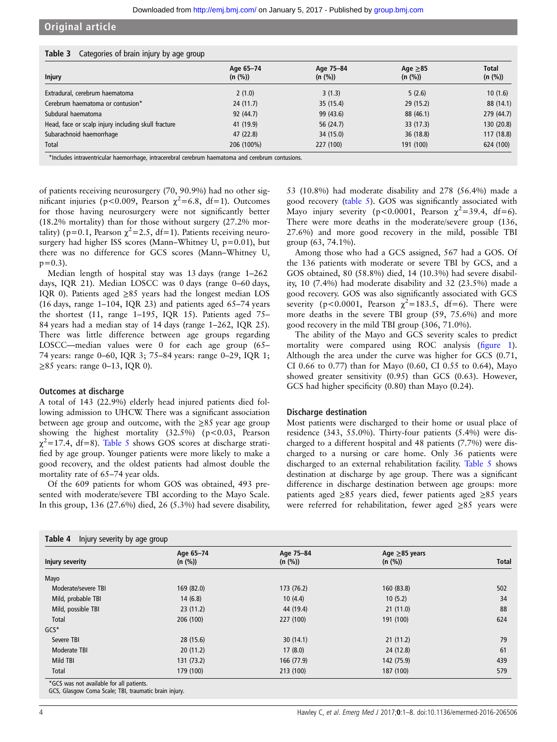## <span id="page-3-0"></span>Original article

| <b>Table 3</b> Categories of brain injury by age group |  |  |  |  |  |
|--------------------------------------------------------|--|--|--|--|--|
|--------------------------------------------------------|--|--|--|--|--|

|                                                     | Age 65-74  | Age 75-84 | Age $\geq 85$ | <b>Total</b> |
|-----------------------------------------------------|------------|-----------|---------------|--------------|
| <b>Injury</b>                                       | (n (%))    | (n (%))   | (n (%))       | (n (%))      |
| Extradural, cerebrum haematoma                      | 2(1.0)     | 3(1.3)    | 5(2.6)        | 10(1.6)      |
| Cerebrum haematoma or contusion*                    | 24(11.7)   | 35(15.4)  | 29(15.2)      | 88 (14.1)    |
| Subdural haematoma                                  | 92 (44.7)  | 99 (43.6) | 88 (46.1)     | 279 (44.7)   |
| Head, face or scalp injury including skull fracture | 41 (19.9)  | 56 (24.7) | 33 (17.3)     | 130 (20.8)   |
| Subarachnoid haemorrhage                            | 47 (22.8)  | 34 (15.0) | 36(18.8)      | 117(18.8)    |
| Total                                               | 206 (100%) | 227 (100) | 191 (100)     | 624 (100)    |

\*Includes intraventricular haemorrhage, intracerebral cerebrum haematoma and cerebrum contusions.

of patients receiving neurosurgery (70, 90.9%) had no other significant injuries (p<0.009, Pearson  $\chi^2$ =6.8, df=1). Outcomes for those having neurosurgery were not significantly better (18.2% mortality) than for those without surgery (27.2% mortality) (p=0.1, Pearson  $\chi^2$ =2.5, df=1). Patients receiving neurosurgery had higher ISS scores (Mann–Whitney U, p=0.01), but there was no difference for GCS scores (Mann–Whitney U,  $p=0.3$ ).

Median length of hospital stay was 13 days (range 1–262 days, IQR 21). Median LOSCC was 0 days (range 0–60 days, IQR 0). Patients aged ≥85 years had the longest median LOS (16 days, range 1–104, IQR 23) and patients aged 65–74 years the shortest (11, range 1–195, IQR 15). Patients aged 75– 84 years had a median stay of 14 days (range 1–262, IQR 25). There was little difference between age groups regarding LOSCC—median values were 0 for each age group (65– 74 years: range 0–60, IQR 3; 75–84 years: range 0–29, IQR 1; ≥85 years: range 0–13, IQR 0).

#### Outcomes at discharge

A total of 143 (22.9%) elderly head injured patients died following admission to UHCW. There was a significant association between age group and outcome, with the ≥85 year age group showing the highest mortality  $(32.5\%)$  (p<0.03, Pearson  $\chi^2$ =17.4, df=8). [Table 5](#page-4-0) shows GOS scores at discharge stratified by age group. Younger patients were more likely to make a good recovery, and the oldest patients had almost double the mortality rate of 65–74 year olds.

Of the 609 patients for whom GOS was obtained, 493 presented with moderate/severe TBI according to the Mayo Scale. In this group, 136 (27.6%) died, 26 (5.3%) had severe disability, 53 (10.8%) had moderate disability and 278 (56.4%) made a good recovery ([table 5\)](#page-4-0). GOS was significantly associated with Mayo injury severity (p<0.0001, Pearson  $\chi^2$ =39.4, df=6). There were more deaths in the moderate/severe group (136, 27.6%) and more good recovery in the mild, possible TBI group (63, 74.1%).

Among those who had a GCS assigned, 567 had a GOS. Of the 136 patients with moderate or severe TBI by GCS, and a GOS obtained, 80 (58.8%) died, 14 (10.3%) had severe disability, 10 (7.4%) had moderate disability and 32 (23.5%) made a good recovery. GOS was also significantly associated with GCS severity (p<0.0001, Pearson  $\chi^2$ =183.5, df=6). There were more deaths in the severe TBI group (59, 75.6%) and more good recovery in the mild TBI group (306, 71.0%).

The ability of the Mayo and GCS severity scales to predict mortality were compared using ROC analysis (fi[gure 1\)](#page-4-0). Although the area under the curve was higher for GCS (0.71, CI 0.66 to 0.77) than for Mayo (0.60, CI 0.55 to 0.64), Mayo showed greater sensitivity (0.95) than GCS (0.63). However, GCS had higher specificity (0.80) than Mayo (0.24).

#### Discharge destination

Most patients were discharged to their home or usual place of residence (343, 55.0%). Thirty-four patients (5.4%) were discharged to a different hospital and 48 patients (7.7%) were discharged to a nursing or care home. Only 36 patients were discharged to an external rehabilitation facility. [Table 5](#page-4-0) shows destination at discharge by age group. There was a significant difference in discharge destination between age groups: more patients aged ≥85 years died, fewer patients aged ≥85 years were referred for rehabilitation, fewer aged ≥85 years were

|                     | Age 65-74  | Age 75-84  | Age $\geq$ 85 years |       |
|---------------------|------------|------------|---------------------|-------|
| Injury severity     | (n (%))    | (n (%))    | (n (%))             | Total |
| Mayo                |            |            |                     |       |
| Moderate/severe TBI | 169 (82.0) | 173 (76.2) | 160 (83.8)          | 502   |
| Mild, probable TBI  | 14(6.8)    | 10(4.4)    | 10(5.2)             | 34    |
| Mild, possible TBI  | 23(11.2)   | 44 (19.4)  | 21(11.0)            | 88    |
| Total               | 206 (100)  | 227 (100)  | 191 (100)           | 624   |
| $GCS^*$             |            |            |                     |       |
| Severe TBI          | 28 (15.6)  | 30(14.1)   | 21(11.2)            | 79    |
| Moderate TBI        | 20(11.2)   | 17(8.0)    | 24 (12.8)           | 61    |
| Mild TBI            | 131 (73.2) | 166 (77.9) | 142 (75.9)          | 439   |
| Total               | 179 (100)  | 213 (100)  | 187 (100)           | 579   |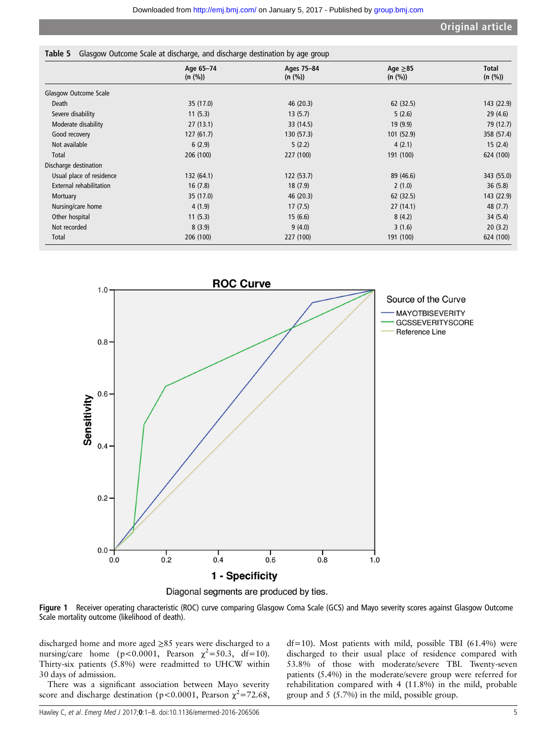<span id="page-4-0"></span>

|                          | Age 65-74  | Ages 75-84<br>(n (%)) | Age $\geq 85$ | <b>Total</b><br>(n (%)) |
|--------------------------|------------|-----------------------|---------------|-------------------------|
|                          | (n (%))    |                       | (n (%))       |                         |
| Glasgow Outcome Scale    |            |                       |               |                         |
| Death                    | 35 (17.0)  | 46 (20.3)             | 62 (32.5)     | 143 (22.9)              |
| Severe disability        | 11(5.3)    | 13(5.7)               | 5(2.6)        | 29(4.6)                 |
| Moderate disability      | 27(13.1)   | 33 (14.5)             | 19(9.9)       | 79 (12.7)               |
| Good recovery            | 127(61.7)  | 130 (57.3)            | 101 (52.9)    | 358 (57.4)              |
| Not available            | 6(2.9)     | 5(2.2)                | 4(2.1)        | 15(2.4)                 |
| Total                    | 206 (100)  | 227 (100)             | 191 (100)     | 624 (100)               |
| Discharge destination    |            |                       |               |                         |
| Usual place of residence | 132 (64.1) | 122(53.7)             | 89 (46.6)     | 343 (55.0)              |
| External rehabilitation  | 16(7.8)    | 18(7.9)               | 2(1.0)        | 36(5.8)                 |
| Mortuary                 | 35 (17.0)  | 46 (20.3)             | 62(32.5)      | 143 (22.9)              |
| Nursing/care home        | 4(1.9)     | 17(7.5)               | 27(14.1)      | 48 (7.7)                |
| Other hospital           | 11(5.3)    | 15(6.6)               | 8(4.2)        | 34(5.4)                 |
| Not recorded             | 8(3.9)     | 9(4.0)                | 3(1.6)        | 20(3.2)                 |
| Total                    | 206 (100)  | 227 (100)             | 191 (100)     | 624 (100)               |



Figure 1 Receiver operating characteristic (ROC) curve comparing Glasgow Coma Scale (GCS) and Mayo severity scores against Glasgow Outcome Scale mortality outcome (likelihood of death).

discharged home and more aged ≥85 years were discharged to a nursing/care home (p<0.0001, Pearson  $\chi^2$ =50.3, df=10). Thirty-six patients (5.8%) were readmitted to UHCW within 30 days of admission.

There was a significant association between Mayo severity score and discharge destination (p<0.0001, Pearson  $\chi^2$ =72.68,

df=10). Most patients with mild, possible TBI (61.4%) were discharged to their usual place of residence compared with 53.8% of those with moderate/severe TBI. Twenty-seven patients (5.4%) in the moderate/severe group were referred for rehabilitation compared with 4 (11.8%) in the mild, probable group and 5 (5.7%) in the mild, possible group.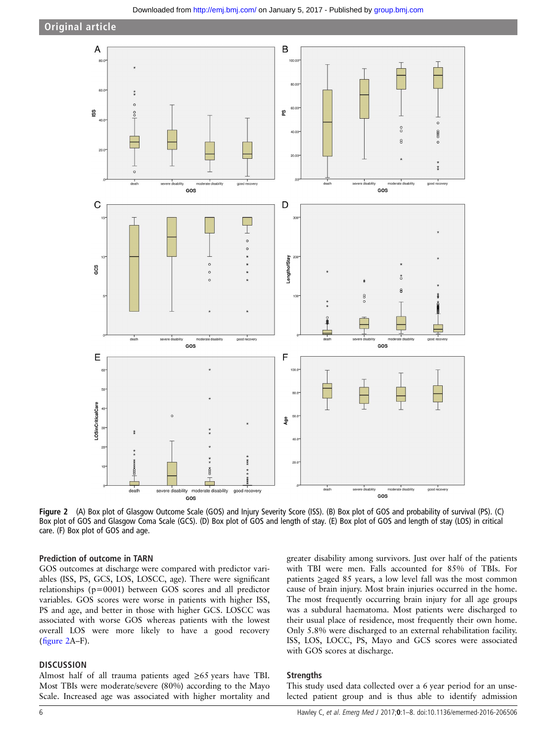

Figure 2 (A) Box plot of Glasgow Outcome Scale (GOS) and Injury Severity Score (ISS). (B) Box plot of GOS and probability of survival (PS). (C) Box plot of GOS and Glasgow Coma Scale (GCS). (D) Box plot of GOS and length of stay. (E) Box plot of GOS and length of stay (LOS) in critical care. (F) Box plot of GOS and age.

#### Prediction of outcome in TARN

GOS outcomes at discharge were compared with predictor variables (ISS, PS, GCS, LOS, LOSCC, age). There were significant relationships (p=0001) between GOS scores and all predictor variables. GOS scores were worse in patients with higher ISS, PS and age, and better in those with higher GCS. LOSCC was associated with worse GOS whereas patients with the lowest overall LOS were more likely to have a good recovery (figure 2A–F).

#### **DISCUSSION**

Almost half of all trauma patients aged ≥65 years have TBI. Most TBIs were moderate/severe (80%) according to the Mayo Scale. Increased age was associated with higher mortality and greater disability among survivors. Just over half of the patients with TBI were men. Falls accounted for 85% of TBIs. For patients ≥aged 85 years, a low level fall was the most common cause of brain injury. Most brain injuries occurred in the home. The most frequently occurring brain injury for all age groups was a subdural haematoma. Most patients were discharged to their usual place of residence, most frequently their own home. Only 5.8% were discharged to an external rehabilitation facility. ISS, LOS, LOCC, PS, Mayo and GCS scores were associated with GOS scores at discharge.

#### **Strengths**

This study used data collected over a 6 year period for an unselected patient group and is thus able to identify admission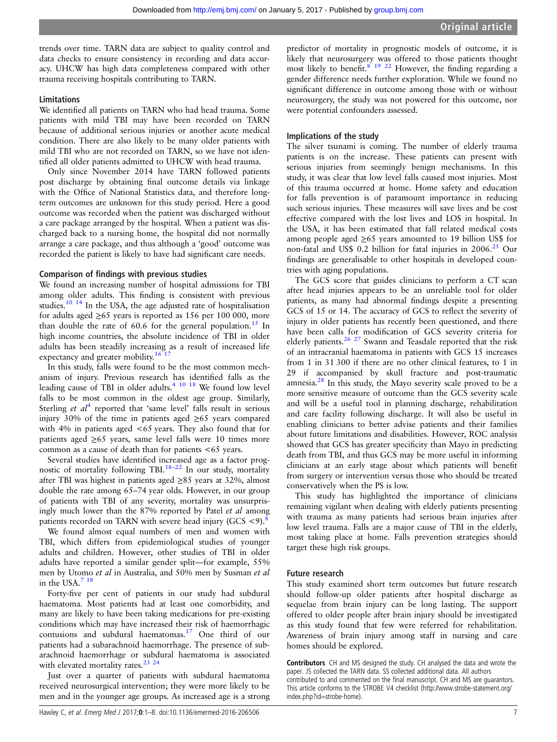trends over time. TARN data are subject to quality control and data checks to ensure consistency in recording and data accuracy. UHCW has high data completeness compared with other trauma receiving hospitals contributing to TARN.

#### Limitations

We identified all patients on TARN who had head trauma. Some patients with mild TBI may have been recorded on TARN because of additional serious injuries or another acute medical condition. There are also likely to be many older patients with mild TBI who are not recorded on TARN, so we have not identified all older patients admitted to UHCW with head trauma.

Only since November 2014 have TARN followed patients post discharge by obtaining final outcome details via linkage with the Office of National Statistics data, and therefore longterm outcomes are unknown for this study period. Here a good outcome was recorded when the patient was discharged without a care package arranged by the hospital. When a patient was discharged back to a nursing home, the hospital did not normally arrange a care package, and thus although a 'good' outcome was recorded the patient is likely to have had significant care needs.

#### Comparison of findings with previous studies

We found an increasing number of hospital admissions for TBI among older adults. This finding is consistent with previous studies.[10 14](#page-7-0) In the USA, the age adjusted rate of hospitalisation for adults aged  $\geq 65$  years is reported as 156 per 100 000, more than double the rate of  $60.6$  for the general population.<sup>[15](#page-7-0)</sup> In high income countries, the absolute incidence of TBI in older adults has been steadily increasing as a result of increased life expectancy and greater mobility.<sup>16 1</sup>

In this study, falls were found to be the most common mechanism of injury. Previous research has identified falls as the leading cause of TBI in older adults.<sup>[4 10 18](#page-7-0)</sup> We found low level falls to be most common in the oldest age group. Similarly, Sterling *et al*<sup>[4](#page-7-0)</sup> reported that 'same level' falls result in serious injury 30% of the time in patients aged  $\geq 65$  years compared with 4% in patients aged <65 years. They also found that for patients aged  $\geq 65$  years, same level falls were 10 times more common as a cause of death than for patients <65 years.

Several studies have identified increased age as a factor prognostic of mortality following TBI.<sup>18–22</sup> In our study, mortality after TBI was highest in patients aged ≥85 years at 32%, almost double the rate among 65–74 year olds. However, in our group of patients with TBI of any severity, mortality was unsurprisingly much lower than the 87% reported by Patel et al among patients recorded on TARN with severe head injury (GCS  $\langle 9 \rangle$ .

We found almost equal numbers of men and women with TBI, which differs from epidemiological studies of younger adults and children. However, other studies of TBI in older adults have reported a similar gender split—for example, 55% men by Utomo et al in Australia, and 50% men by Susman et al in the USA.<sup>7</sup> <sup>18</sup>

Forty-five per cent of patients in our study had subdural haematoma. Most patients had at least one comorbidity, and many are likely to have been taking medications for pre-existing conditions which may have increased their risk of haemorrhagic contusions and subdural haematomas.[17](#page-7-0) One third of our patients had a subarachnoid haemorrhage. The presence of subarachnoid haemorrhage or subdural haematoma is associated with elevated mortality rates. $23^{24}$ 

Just over a quarter of patients with subdural haematoma received neurosurgical intervention; they were more likely to be men and in the younger age groups. As increased age is a strong

Hawley C, et al. Emerg Med J 2017;0:1–8. doi:10.1136/emermed-2016-206506 7

predictor of mortality in prognostic models of outcome, it is likely that neurosurgery was offered to those patients thought most likely to benefit.<sup>[8 19 22](#page-7-0)</sup> However, the finding regarding a gender difference needs further exploration. While we found no significant difference in outcome among those with or without neurosurgery, the study was not powered for this outcome, nor were potential confounders assessed.

#### Implications of the study

The silver tsunami is coming. The number of elderly trauma patients is on the increase. These patients can present with serious injuries from seemingly benign mechanisms. In this study, it was clear that low level falls caused most injuries. Most of this trauma occurred at home. Home safety and education for falls prevention is of paramount importance in reducing such serious injuries. These measures will save lives and be cost effective compared with the lost lives and LOS in hospital. In the USA, it has been estimated that fall related medical costs among people aged ≥65 years amounted to 19 billion US\$ for non-fatal and US\$ 0.2 billion for fatal injuries in  $2006<sup>25</sup>$  Our findings are generalisable to other hospitals in developed countries with aging populations.

The GCS score that guides clinicians to perform a CT scan after head injuries appears to be an unreliable tool for older patients, as many had abnormal findings despite a presenting GCS of 15 or 14. The accuracy of GCS to reflect the severity of injury in older patients has recently been questioned, and there have been calls for modification of GCS severity criteria for elderly patients.<sup>[26 27](#page-7-0)</sup> Swann and Teasdale reported that the risk of an intracranial haematoma in patients with GCS 15 increases from 1 in 31 300 if there are no other clinical features, to 1 in 29 if accompanied by skull fracture and post-traumatic amnesia. $28$  In this study, the Mayo severity scale proved to be a more sensitive measure of outcome than the GCS severity scale and will be a useful tool in planning discharge, rehabilitation and care facility following discharge. It will also be useful in enabling clinicians to better advise patients and their families about future limitations and disabilities. However, ROC analysis showed that GCS has greater specificity than Mayo in predicting death from TBI, and thus GCS may be more useful in informing clinicians at an early stage about which patients will benefit from surgery or intervention versus those who should be treated conservatively when the PS is low.

This study has highlighted the importance of clinicians remaining vigilant when dealing with elderly patients presenting with trauma as many patients had serious brain injuries after low level trauma. Falls are a major cause of TBI in the elderly, most taking place at home. Falls prevention strategies should target these high risk groups.

#### Future research

This study examined short term outcomes but future research should follow-up older patients after hospital discharge as sequelae from brain injury can be long lasting. The support offered to older people after brain injury should be investigated as this study found that few were referred for rehabilitation. Awareness of brain injury among staff in nursing and care homes should be explored.

Contributors CH and MS designed the study. CH analysed the data and wrote the paper. JS collected the TARN data. SS collected additional data. All authors contributed to and commented on the final manuscript. CH and MS are guarantors. This article conforms to the STROBE V4 checklist (http://www.strobe-statement.org/ index.php?id=strobe-home).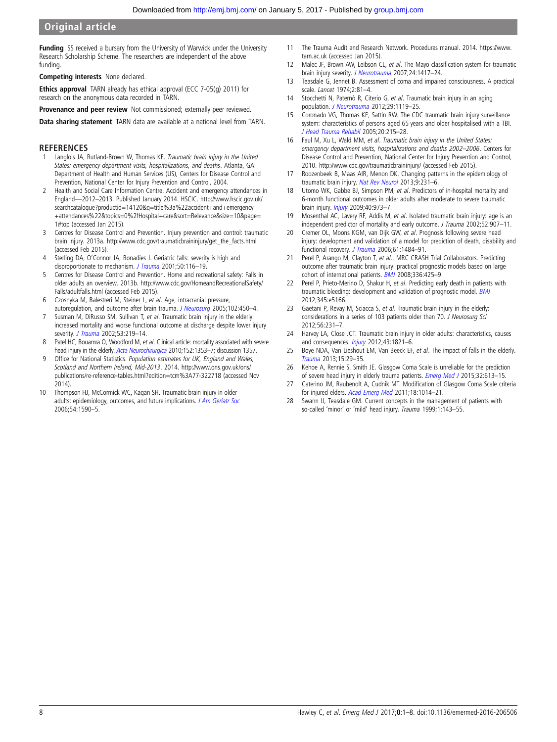# <span id="page-7-0"></span>Original article

**Funding** SS received a bursary from the University of Warwick under the University Research Scholarship Scheme. The researchers are independent of the above funding.

Competing interests None declared.

Ethics approval TARN already has ethical approval (ECC 7-05(g) 2011) for research on the anonymous data recorded in TARN.

Provenance and peer review Not commissioned; externally peer reviewed.

Data sharing statement TARN data are available at a national level from TARN.

### **REFERENCES**

- Langlois JA, Rutland-Brown W, Thomas KE. Traumatic brain injury in the United States: emergency department visits, hospitalizations, and deaths. Atlanta, GA: Department of Health and Human Services (US), Centers for Disease Control and Prevention, National Center for Injury Prevention and Control, 2004.
- 2 Health and Social Care Information Centre. Accident and emergency attendances in England—2012–2013. Published January 2014. HSCIC. [http://www.hscic.gov.uk/](http://www.hscic.gov.uk/searchcatalogue?productid=14120&q=title%3a%22accident+and+emergency+attendances%22&topics=0%2fHospital+care&sort=Relevance&size=10&page=1#top) [searchcatalogue?productid=14120&q=title%3a%22accident+and+emergency](http://www.hscic.gov.uk/searchcatalogue?productid=14120&q=title%3a%22accident+and+emergency+attendances%22&topics=0%2fHospital+care&sort=Relevance&size=10&page=1#top) [+attendances%22&topics=0%2fHospital+care&sort=Relevance&size=10&page=](http://www.hscic.gov.uk/searchcatalogue?productid=14120&q=title%3a%22accident+and+emergency+attendances%22&topics=0%2fHospital+care&sort=Relevance&size=10&page=1#top) [1#top](http://www.hscic.gov.uk/searchcatalogue?productid=14120&q=title%3a%22accident+and+emergency+attendances%22&topics=0%2fHospital+care&sort=Relevance&size=10&page=1#top) (accessed Jan 2015).
- 3 Centres for Disease Control and Prevention. Injury prevention and control: traumatic brain injury. 2013a. [http://www.cdc.gov/traumaticbraininjury/get\\_the\\_facts.html](http://www.cdc.gov/traumaticbraininjury/get_the_facts.html) (accessed Feb 2015).
- 4 Sterling DA, O'Connor JA, Bonadies J. Geriatric falls: severity is high and disproportionate to mechanism. [J Trauma](http://dx.doi.org/10.1097/00005373-200101000-00021) 2001;50:116-19.
- 5 Centres for Disease Control and Prevention. Home and recreational safety: Falls in older adults an overview. 2013b. [http://www.cdc.gov/HomeandRecreationalSafety/](http://www.cdc.gov/HomeandRecreationalSafety/Falls/adultfalls.html) [Falls/adultfalls.html](http://www.cdc.gov/HomeandRecreationalSafety/Falls/adultfalls.html) (accessed Feb 2015).
- 6 Czosnyka M, Balestreri M, Steiner L, et al. Age, intracranial pressure, autoregulation, and outcome after brain trauma. [J Neurosurg](http://dx.doi.org/10.3171/jns.2005.102.3.0450) 2005;102:450-4.
- 7 Susman M, DiRusso SM, Sullivan T, et al. Traumatic brain injury in the elderly: increased mortality and worse functional outcome at discharge despite lower injury severity. [J Trauma](http://dx.doi.org/10.1097/00005373-200208000-00004) 2002;53:219-14.
- 8 Patel HC, Bouamra O, Woodford M, et al. Clinical article: mortality associated with severe head injury in the elderly. [Acta Neurochirurgica](http://dx.doi.org/10.1007/s00701-010-0666-x) 2010;152:1353-7; discussion 1357.
- 9 Office for National Statistics. Population estimates for UK, England and Wales, Scotland and Northern Ireland, Mid-2013. 2014. [http://www.ons.gov.uk/ons/](http://www.ons.gov.uk/ons/publications/re-reference-tables.html?edition=tcm%3A77-322718) [publications/re-reference-tables.html?edition=tcm%3A77-322718](http://www.ons.gov.uk/ons/publications/re-reference-tables.html?edition=tcm%3A77-322718) (accessed Nov 2014).
- 10 Thompson HJ, McCormick WC, Kagan SH. Traumatic brain injury in older adults: epidemiology, outcomes, and future implications. [J Am Geriatr Soc](http://dx.doi.org/10.1111/j.1532-5415.2006.00894.x) 2006;54:1590–5.
- 11 The Trauma Audit and Research Network. Procedures manual. 2014. [https://www.](https://www.tarn.ac.uk) [tarn.ac.uk](https://www.tarn.ac.uk) (accessed Jan 2015).
- 12 Malec JF, Brown AW, Leibson CL, et al. The Mayo classification system for traumatic brain injury severity. [J Neurotrauma](http://dx.doi.org/10.1089/neu.2006.0245) 2007;24:1417-24.
- 13 Teasdale G, Jennet B. Assessment of coma and impaired consciousness. A practical scale. Lancet 1974;2:81–4.
- 14 Stocchetti N, Paternò R, Citerio G, et al. Traumatic brain injury in an aging population. [J Neurotrauma](http://dx.doi.org/10.1089/neu.2011.1995) 2012;29:1119-25.
- 15 Coronado VG, Thomas KE, Sattin RW. The CDC traumatic brain injury surveillance system: characteristics of persons aged 65 years and older hospitalised with a TBI. [J Head Trauma Rehabil](http://dx.doi.org/10.1097/00001199-200505000-00005) 2005;20:215–28.
- 16 Faul M, Xu L, Wald MM, et al. Traumatic brain injury in the United States: emergency department visits, hospitalizations and deaths 2002–2006. Centers for Disease Control and Prevention, National Center for Injury Prevention and Control, 2010.<http://www.cdc.gov/traumaticbraininjury/> (accessed Feb 2015).
- 17 Roozenbeek B, Maas AIR, Menon DK. Changing patterns in the epidemiology of traumatic brain injury. [Nat Rev Neurol](http://dx.doi.org/10.1038/nrneurol.2013.22) 2013;9:231-6.
- 18 Utomo WK, Gabbe BJ, Simpson PM, et al. Predictors of in-hospital mortality and 6-month functional outcomes in older adults after moderate to severe traumatic brain injury. [Injury](http://dx.doi.org/10.1016/j.injury.2009.05.034) 2009;40:973–7.
- 19 Mosenthal AC, Lavery RF, Addis M, et al. Isolated traumatic brain injury: age is an independent predictor of mortality and early outcome. J Trauma 2002;52:907–11.
- 20 Cremer OL, Moons KGM, van Dijk GW, et al. Prognosis following severe head injury: development and validation of a model for prediction of death, disability and functional recovery. [J Trauma](http://dx.doi.org/10.1097/01.ta.0000195981.63776.ba) 2006;61:1484-91.
- 21 Perel P, Arango M, Clayton T, et al., MRC CRASH Trial Collaborators. Predicting outcome after traumatic brain injury: practical prognostic models based on large cohort of international patients. **[BMJ](http://dx.doi.org/10.1136/bmj.39461.643438.25)** 2008;336:425-9.
- 22 Perel P, Prieto-Merino D, Shakur H, et al. Predicting early death in patients with traumatic bleeding: development and validation of prognostic model. **[BMJ](http://dx.doi.org/10.1136/bmj.e5166)** 2012;345:e5166.
- 23 Gaetani P, Revay M, Sciacca S, et al. Traumatic brain injury in the elderly: considerations in a series of 103 patients older than 70. J Neurosurg Sci 2012;56:231–7.
- 24 Harvey LA, Close JCT. Traumatic brain injury in older adults: characteristics, causes and consequences. [Injury](http://dx.doi.org/10.1016/j.injury.2012.07.188) 2012;43:1821-6.
- 25 Boye NDA, Van Lieshout EM, Van Beeck EF, et al. The impact of falls in the elderly. [Trauma](http://dx.doi.org/10.1177/1460408612463145) 2013;15:29–35.
- 26 Kehoe A, Rennie S, Smith JE. Glasgow Coma Scale is unreliable for the prediction of severe head injury in elderly trauma patients. [Emerg Med J](http://dx.doi.org/10.1136/emermed-2013-203488) 2015;32:613-15.
- 27 Caterino JM, Raubenolt A, Cudnik MT. Modification of Glasgow Coma Scale criteria for injured elders. [Acad Emerg Med](http://dx.doi.org/10.1111/j.1553-2712.2011.01164.x) 2011;18:1014-21.
- 28 Swann IJ, Teasdale GM. Current concepts in the management of patients with so-called 'minor' or 'mild' head injury. Trauma 1999;1:143-55.